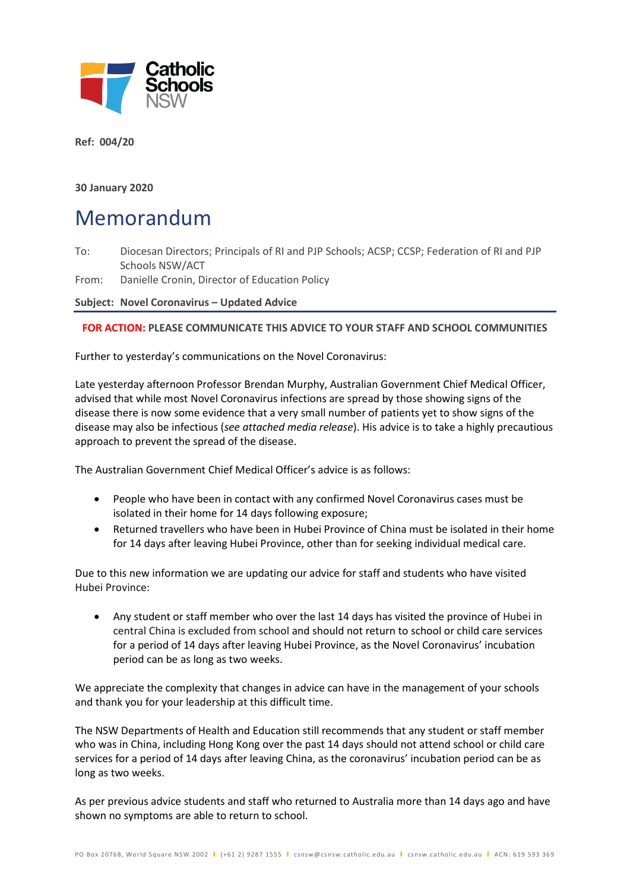

**Ref: 004/20**

**30 January 2020**

## Memorandum

To: Diocesan Directors; Principals of RI and PJP Schools; ACSP; CCSP; Federation of RI and PJP Schools NSW/ACT

From: Danielle Cronin, Director of Education Policy

**Subject: Novel Coronavirus – Updated Advice**

## **FOR ACTION: PLEASE COMMUNICATE THIS ADVICE TO YOUR STAFF AND SCHOOL COMMUNITIES**

Further to yesterday's communications on the Novel Coronavirus:

Late yesterday afternoon Professor Brendan Murphy, Australian Government Chief Medical Officer, advised that while most Novel Coronavirus infections are spread by those showing signs of the disease there is now some evidence that a very small number of patients yet to show signs of the disease may also be infectious (*see attached media release*). His advice is to take a highly precautious approach to prevent the spread of the disease.

The Australian Government Chief Medical Officer's advice is as follows:

- People who have been in contact with any confirmed Novel Coronavirus cases must be isolated in their home for 14 days following exposure;
- Returned travellers who have been in Hubei Province of China must be isolated in their home for 14 days after leaving Hubei Province, other than for seeking individual medical care.

Due to this new information we are updating our advice for staff and students who have visited Hubei Province:

• Any student or staff member who over the last 14 days has visited the province of Hubei in central China is excluded from school and should not return to school or child care services for a period of 14 days after leaving Hubei Province, as the Novel Coronavirus' incubation period can be as long as two weeks.

We appreciate the complexity that changes in advice can have in the management of your schools and thank you for your leadership at this difficult time.

The NSW Departments of Health and Education still recommends that any student or staff member who was in China, including Hong Kong over the past 14 days should not attend school or child care services for a period of 14 days after leaving China, as the coronavirus' incubation period can be as long as two weeks.

As per previous advice students and staff who returned to Australia more than 14 days ago and have shown no symptoms are able to return to school.